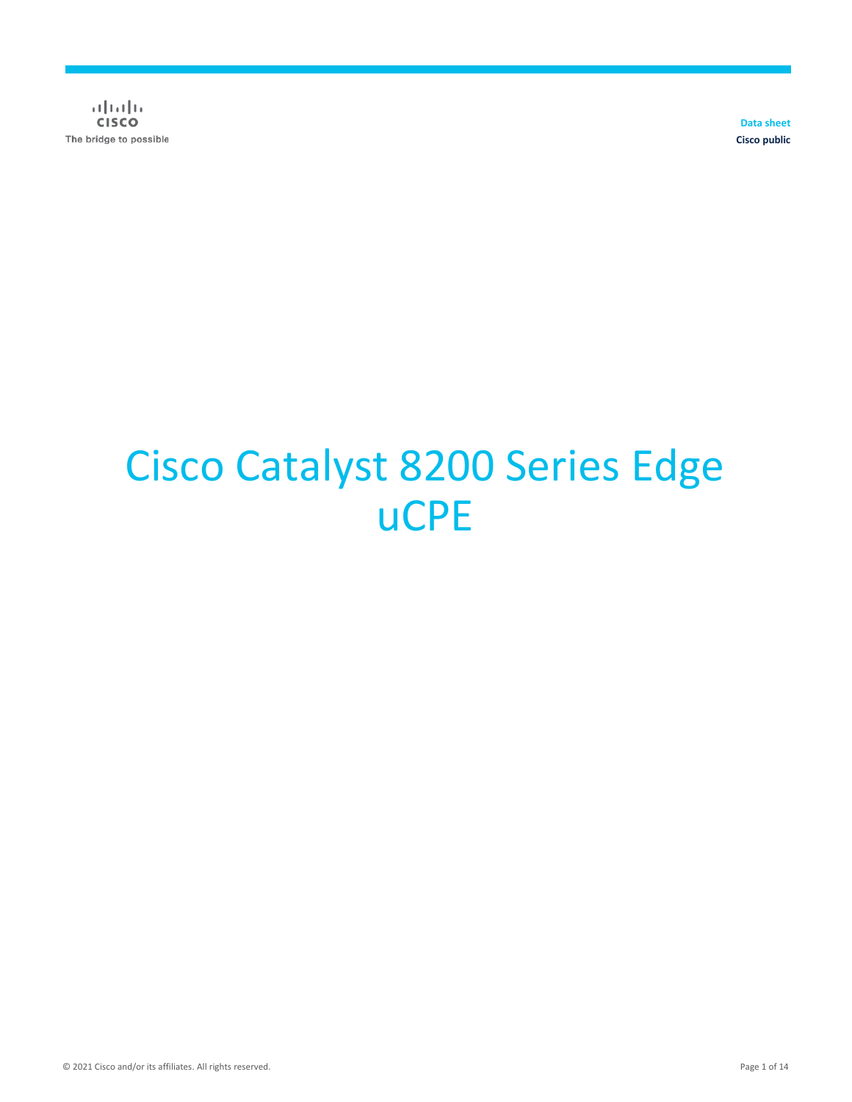$\alpha$  and  $\alpha$ **CISCO** The bridge to possible

**Data sheet Cisco public**

# Cisco Catalyst 8200 Series Edge uCPE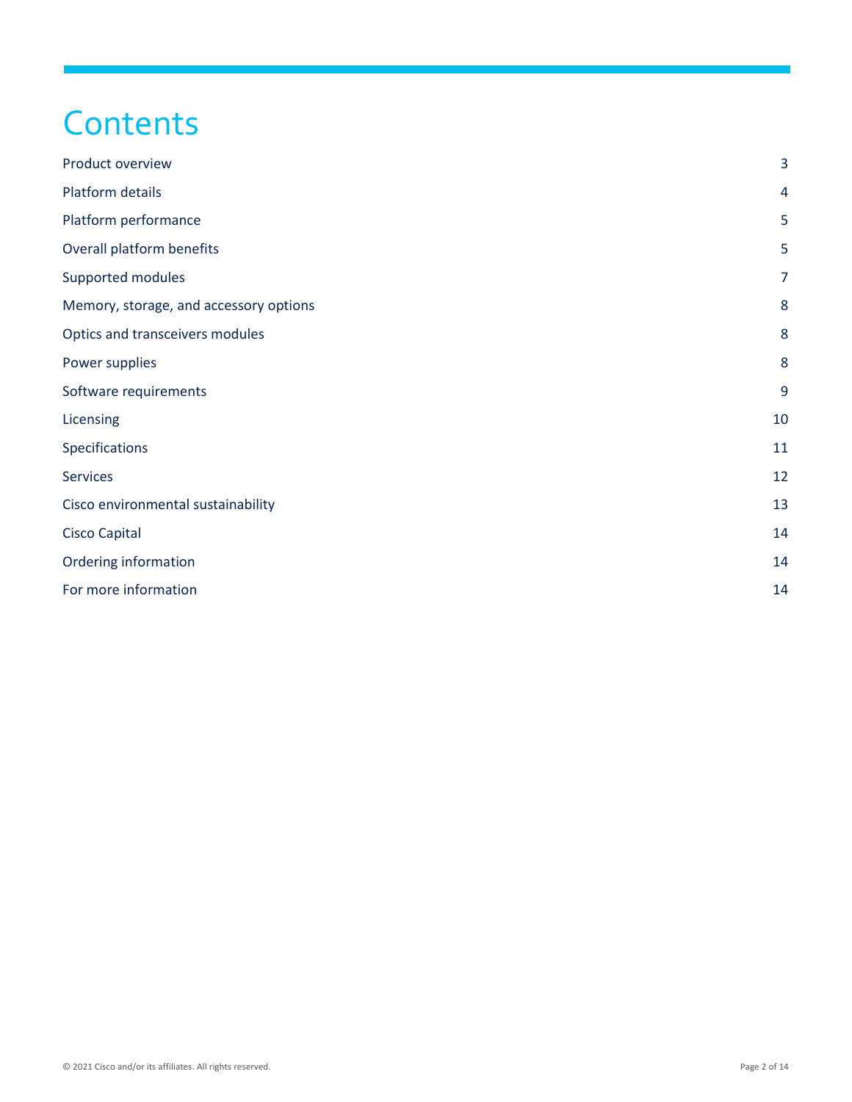# **Contents**

| Product overview                       | $\overline{3}$ |
|----------------------------------------|----------------|
| Platform details                       | 4              |
| Platform performance                   | 5              |
| Overall platform benefits              | 5              |
| Supported modules                      | $\overline{7}$ |
| Memory, storage, and accessory options | 8              |
| Optics and transceivers modules        | 8              |
| Power supplies                         | 8              |
| Software requirements                  | 9              |
| Licensing                              | 10             |
| Specifications                         | 11             |
| <b>Services</b>                        | 12             |
| Cisco environmental sustainability     | 13             |
| <b>Cisco Capital</b>                   | 14             |
| Ordering information                   | 14             |
| For more information                   | 14             |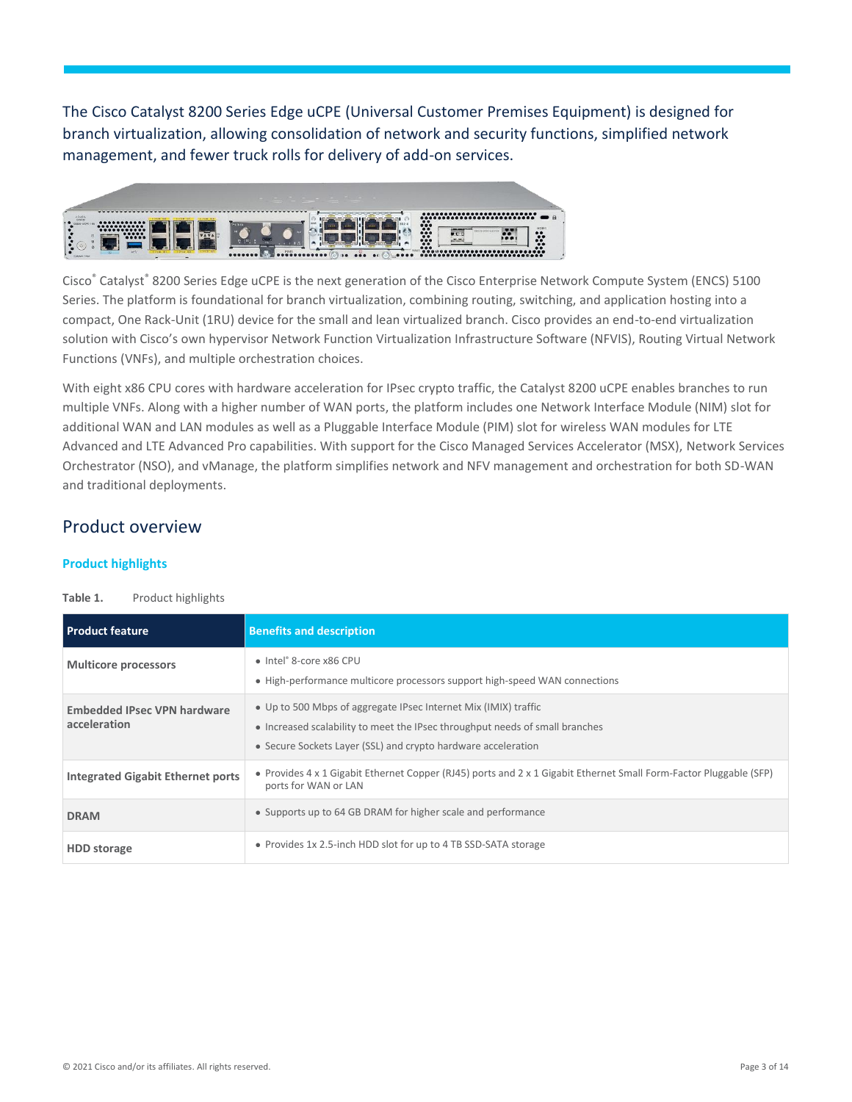The Cisco Catalyst 8200 Series Edge uCPE (Universal Customer Premises Equipment) is designed for branch virtualization, allowing consolidation of network and security functions, simplified network management, and fewer truck rolls for delivery of add-on services.



Cisco® Catalyst® 8200 Series Edge uCPE is the next generation of the Cisco Enterprise Network Compute System (ENCS) 5100 Series. The platform is foundational for branch virtualization, combining routing, switching, and application hosting into a compact, One Rack-Unit (1RU) device for the small and lean virtualized branch. Cisco provides an end-to-end virtualization solution with Cisco's own hypervisor Network Function Virtualization Infrastructure Software (NFVIS), Routing Virtual Network Functions (VNFs), and multiple orchestration choices.

With eight x86 CPU cores with hardware acceleration for IPsec crypto traffic, the Catalyst 8200 uCPE enables branches to run multiple VNFs. Along with a higher number of WAN ports, the platform includes one Network Interface Module (NIM) slot for additional WAN and LAN modules as well as a Pluggable Interface Module (PIM) slot for wireless WAN modules for LTE Advanced and LTE Advanced Pro capabilities. With support for the Cisco Managed Services Accelerator (MSX), Network Services Orchestrator (NSO), and vManage, the platform simplifies network and NFV management and orchestration for both SD-WAN and traditional deployments.

### <span id="page-2-0"></span>Product overview

#### **Product highlights**

#### Table 1. Product highlights

| <b>Product feature</b>                             | <b>Benefits and description</b>                                                                                                                                                                                  |
|----------------------------------------------------|------------------------------------------------------------------------------------------------------------------------------------------------------------------------------------------------------------------|
| <b>Multicore processors</b>                        | • Intel® 8-core x86 CPU<br>• High-performance multicore processors support high-speed WAN connections                                                                                                            |
| <b>Embedded IPsec VPN hardware</b><br>acceleration | • Up to 500 Mbps of aggregate IPsec Internet Mix (IMIX) traffic<br>• Increased scalability to meet the IPsec throughput needs of small branches<br>• Secure Sockets Layer (SSL) and crypto hardware acceleration |
| <b>Integrated Gigabit Ethernet ports</b>           | • Provides 4 x 1 Gigabit Ethernet Copper (RJ45) ports and 2 x 1 Gigabit Ethernet Small Form-Factor Pluggable (SFP)<br>ports for WAN or LAN                                                                       |
| <b>DRAM</b>                                        | • Supports up to 64 GB DRAM for higher scale and performance                                                                                                                                                     |
| <b>HDD</b> storage                                 | • Provides 1x 2.5-inch HDD slot for up to 4 TB SSD-SATA storage                                                                                                                                                  |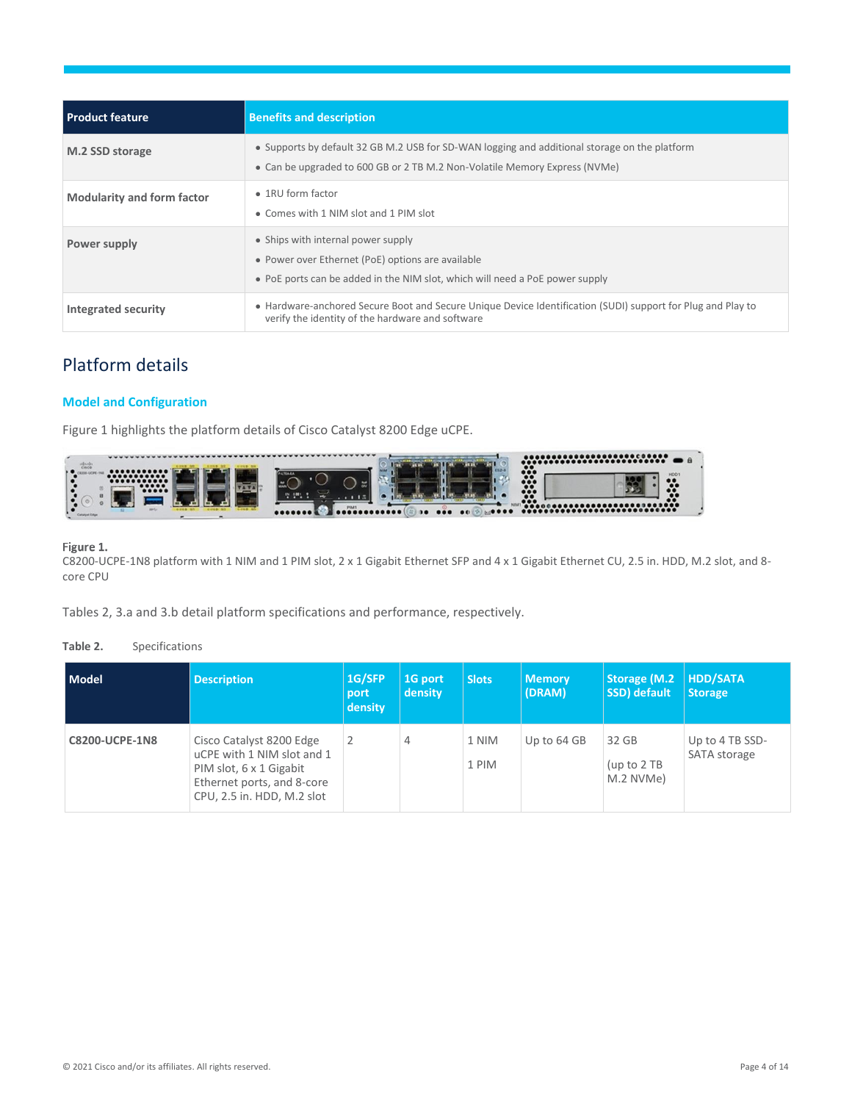| <b>Product feature</b>            | <b>Benefits and description</b>                                                                                                                                             |
|-----------------------------------|-----------------------------------------------------------------------------------------------------------------------------------------------------------------------------|
| M.2 SSD storage                   | • Supports by default 32 GB M.2 USB for SD-WAN logging and additional storage on the platform<br>• Can be upgraded to 600 GB or 2 TB M.2 Non-Volatile Memory Express (NVMe) |
| <b>Modularity and form factor</b> | $\bullet$ 1RU form factor<br>• Comes with 1 NIM slot and 1 PIM slot                                                                                                         |
| Power supply                      | • Ships with internal power supply<br>• Power over Ethernet (PoE) options are available<br>• PoE ports can be added in the NIM slot, which will need a PoE power supply     |
| Integrated security               | • Hardware-anchored Secure Boot and Secure Unique Device Identification (SUDI) support for Plug and Play to<br>verify the identity of the hardware and software             |

# <span id="page-3-0"></span>Platform details

#### **Model and Configuration**

Figure 1 highlights the platform details of Cisco Catalyst 8200 Edge uCPE.



#### Figure 1.

C8200-UCPE-1N8 platform with 1 NIM and 1 PIM slot, 2 x 1 Gigabit Ethernet SFP and 4 x 1 Gigabit Ethernet CU, 2.5 in. HDD, M.2 slot, and 8 core CPU

Tables 2, 3.a and 3.b detail platform specifications and performance, respectively.

#### **Table 2.** Specifications

| Model                 | <b>Description</b>                                                                                                                            | 1G/SFP<br>port<br>density | 1G port<br>density | <b>Slots</b>   | <b>Memory</b><br>(DRAM) | Storage (M.2<br>SSD) default        | <b>HDD/SATA</b><br><b>Storage</b> |
|-----------------------|-----------------------------------------------------------------------------------------------------------------------------------------------|---------------------------|--------------------|----------------|-------------------------|-------------------------------------|-----------------------------------|
| <b>C8200-UCPE-1N8</b> | Cisco Catalyst 8200 Edge<br>uCPE with 1 NIM slot and 1<br>PIM slot, 6 x 1 Gigabit<br>Ethernet ports, and 8-core<br>CPU, 2.5 in. HDD, M.2 slot |                           | 4                  | 1 NIM<br>1 PIM | Up to 64 GB             | 32 GB<br>(up to $2$ TB<br>M.2 NVMe) | Up to 4 TB SSD-<br>SATA storage   |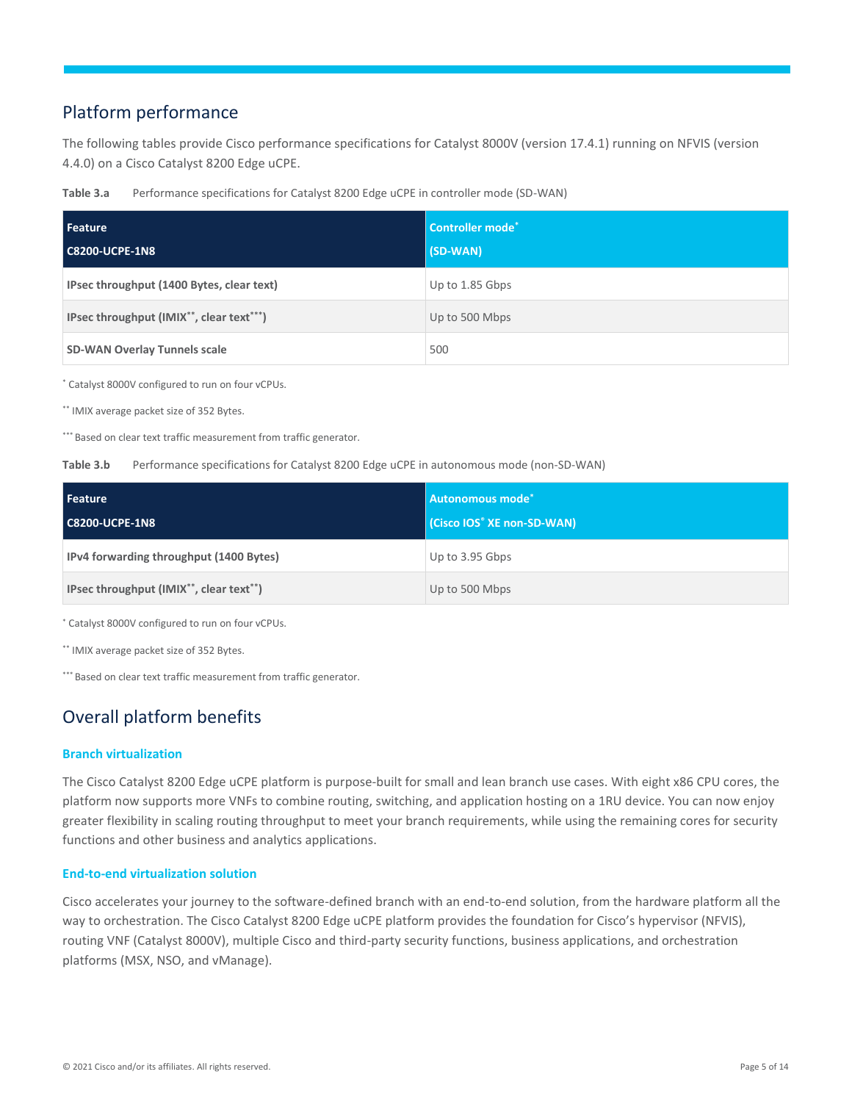# <span id="page-4-0"></span>Platform performance

The following tables provide Cisco performance specifications for Catalyst 8000V (version 17.4.1) running on NFVIS (version 4.4.0) on a Cisco Catalyst 8200 Edge uCPE.

**Table 3.a** Performance specifications for Catalyst 8200 Edge uCPE in controller mode (SD-WAN)

| Feature<br><b>C8200-UCPE-1N8</b>          | Controller mode <sup>*</sup><br>(SD-WAN) |
|-------------------------------------------|------------------------------------------|
| IPsec throughput (1400 Bytes, clear text) | Up to 1.85 Gbps                          |
| IPsec throughput (IMIX**, clear text***)  | Up to 500 Mbps                           |
| <b>SD-WAN Overlay Tunnels scale</b>       | 500                                      |

\* Catalyst 8000V configured to run on four vCPUs.

\*\* IMIX average packet size of 352 Bytes.

\*\*\* Based on clear text traffic measurement from traffic generator.

#### Table 3.b Performance specifications for Catalyst 8200 Edge uCPE in autonomous mode (non-SD-WAN)

| Feature<br><b>C8200-UCPE-1N8</b>        | <b>Autonomous mode*</b><br>(Cisco IOS <sup>®</sup> XE non-SD-WAN) |
|-----------------------------------------|-------------------------------------------------------------------|
| IPv4 forwarding throughput (1400 Bytes) | Up to 3.95 Gbps                                                   |
| IPsec throughput (IMIX**, clear text**) | Up to 500 Mbps                                                    |

\* Catalyst 8000V configured to run on four vCPUs.

\*\* IMIX average packet size of 352 Bytes.

\*\*\* Based on clear text traffic measurement from traffic generator.

# <span id="page-4-1"></span>Overall platform benefits

#### **Branch virtualization**

The Cisco Catalyst 8200 Edge uCPE platform is purpose-built for small and lean branch use cases. With eight x86 CPU cores, the platform now supports more VNFs to combine routing, switching, and application hosting on a 1RU device. You can now enjoy greater flexibility in scaling routing throughput to meet your branch requirements, while using the remaining cores for security functions and other business and analytics applications.

#### **End-to-end virtualization solution**

Cisco accelerates your journey to the software-defined branch with an end-to-end solution, from the hardware platform all the way to orchestration. The Cisco Catalyst 8200 Edge uCPE platform provides the foundation for Cisco's hypervisor (NFVIS), routing VNF (Catalyst 8000V), multiple Cisco and third-party security functions, business applications, and orchestration platforms (MSX, NSO, and vManage).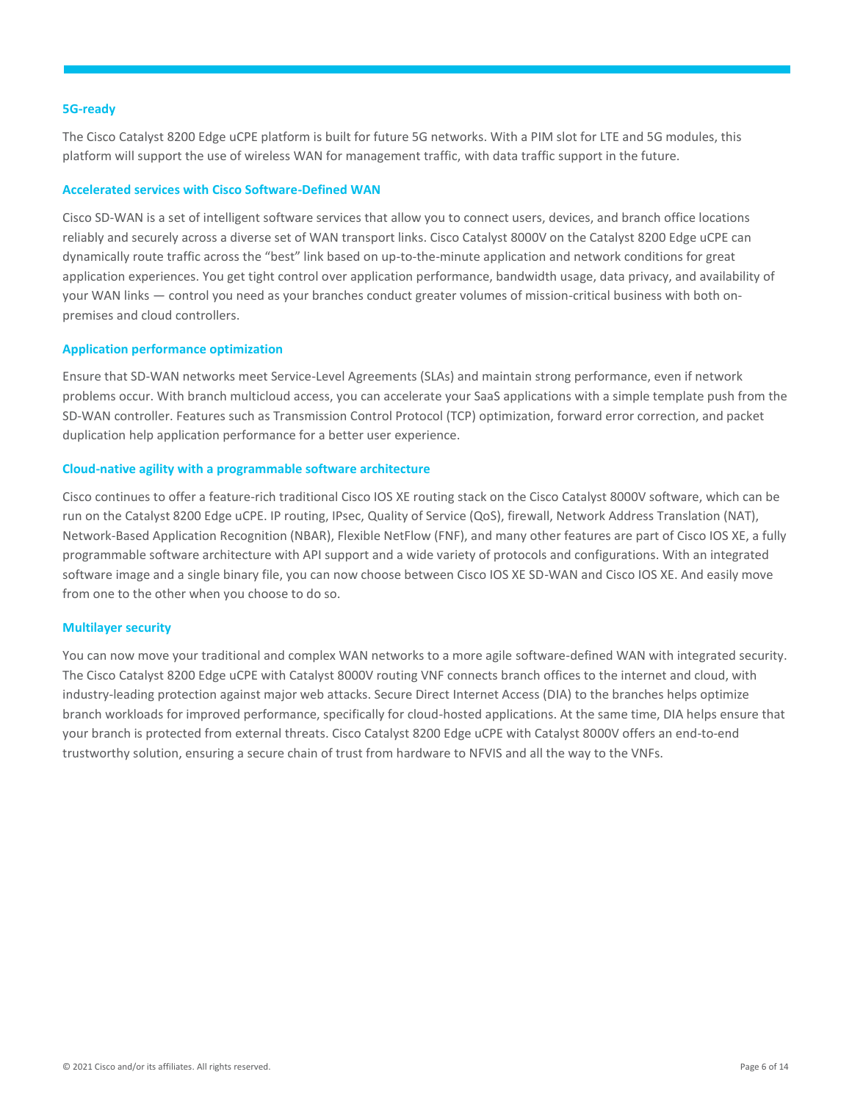#### **5G-ready**

The Cisco Catalyst 8200 Edge uCPE platform is built for future 5G networks. With a PIM slot for LTE and 5G modules, this platform will support the use of wireless WAN for management traffic, with data traffic support in the future.

#### **Accelerated services with Cisco Software-Defined WAN**

Cisco SD-WAN is a set of intelligent software services that allow you to connect users, devices, and branch office locations reliably and securely across a diverse set of WAN transport links. Cisco Catalyst 8000V on the Catalyst 8200 Edge uCPE can dynamically route traffic across the "best" link based on up-to-the-minute application and network conditions for great application experiences. You get tight control over application performance, bandwidth usage, data privacy, and availability of your WAN links — control you need as your branches conduct greater volumes of mission-critical business with both onpremises and cloud controllers.

#### **Application performance optimization**

Ensure that SD-WAN networks meet Service-Level Agreements (SLAs) and maintain strong performance, even if network problems occur. With branch multicloud access, you can accelerate your SaaS applications with a simple template push from the SD-WAN controller. Features such as Transmission Control Protocol (TCP) optimization, forward error correction, and packet duplication help application performance for a better user experience.

#### **Cloud-native agility with a programmable software architecture**

Cisco continues to offer a feature-rich traditional Cisco IOS XE routing stack on the Cisco Catalyst 8000V software, which can be run on the Catalyst 8200 Edge uCPE. IP routing, IPsec, Quality of Service (QoS), firewall, Network Address Translation (NAT), Network-Based Application Recognition (NBAR), Flexible NetFlow (FNF), and many other features are part of Cisco IOS XE, a fully programmable software architecture with API support and a wide variety of protocols and configurations. With an integrated software image and a single binary file, you can now choose between Cisco IOS XE SD-WAN and Cisco IOS XE. And easily move from one to the other when you choose to do so.

#### **Multilayer security**

You can now move your traditional and complex WAN networks to a more agile software-defined WAN with integrated security. The Cisco Catalyst 8200 Edge uCPE with Catalyst 8000V routing VNF connects branch offices to the internet and cloud, with industry-leading protection against major web attacks. Secure Direct Internet Access (DIA) to the branches helps optimize branch workloads for improved performance, specifically for cloud-hosted applications. At the same time, DIA helps ensure that your branch is protected from external threats. Cisco Catalyst 8200 Edge uCPE with Catalyst 8000V offers an end-to-end trustworthy solution, ensuring a secure chain of trust from hardware to NFVIS and all the way to the VNFs.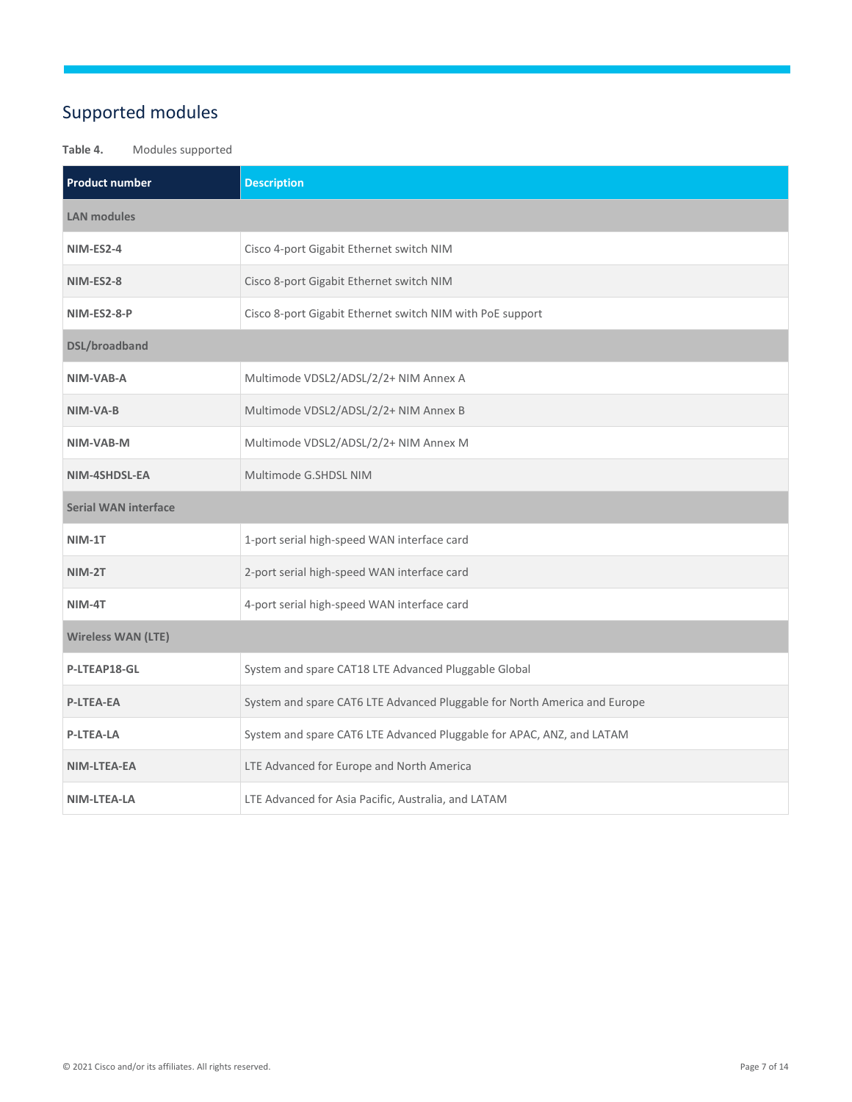# <span id="page-6-0"></span>Supported modules

#### **Table 4.** Modules supported

| <b>Product number</b>       | <b>Description</b>                                                        |  |  |  |
|-----------------------------|---------------------------------------------------------------------------|--|--|--|
| <b>LAN modules</b>          |                                                                           |  |  |  |
| <b>NIM-ES2-4</b>            | Cisco 4-port Gigabit Ethernet switch NIM                                  |  |  |  |
| <b>NIM-ES2-8</b>            | Cisco 8-port Gigabit Ethernet switch NIM                                  |  |  |  |
| NIM-ES2-8-P                 | Cisco 8-port Gigabit Ethernet switch NIM with PoE support                 |  |  |  |
| <b>DSL/broadband</b>        |                                                                           |  |  |  |
| NIM-VAB-A                   | Multimode VDSL2/ADSL/2/2+ NIM Annex A                                     |  |  |  |
| NIM-VA-B                    | Multimode VDSL2/ADSL/2/2+ NIM Annex B                                     |  |  |  |
| NIM-VAB-M                   | Multimode VDSL2/ADSL/2/2+ NIM Annex M                                     |  |  |  |
| NIM-4SHDSL-EA               | Multimode G.SHDSL NIM                                                     |  |  |  |
| <b>Serial WAN interface</b> |                                                                           |  |  |  |
| NIM-1T                      | 1-port serial high-speed WAN interface card                               |  |  |  |
| NIM-2T                      | 2-port serial high-speed WAN interface card                               |  |  |  |
| NIM-4T                      | 4-port serial high-speed WAN interface card                               |  |  |  |
| <b>Wireless WAN (LTE)</b>   |                                                                           |  |  |  |
| P-LTEAP18-GL                | System and spare CAT18 LTE Advanced Pluggable Global                      |  |  |  |
| <b>P-LTEA-EA</b>            | System and spare CAT6 LTE Advanced Pluggable for North America and Europe |  |  |  |
| <b>P-LTEA-LA</b>            | System and spare CAT6 LTE Advanced Pluggable for APAC, ANZ, and LATAM     |  |  |  |
| NIM-LTEA-EA                 | LTE Advanced for Europe and North America                                 |  |  |  |
| NIM-LTEA-LA                 | LTE Advanced for Asia Pacific, Australia, and LATAM                       |  |  |  |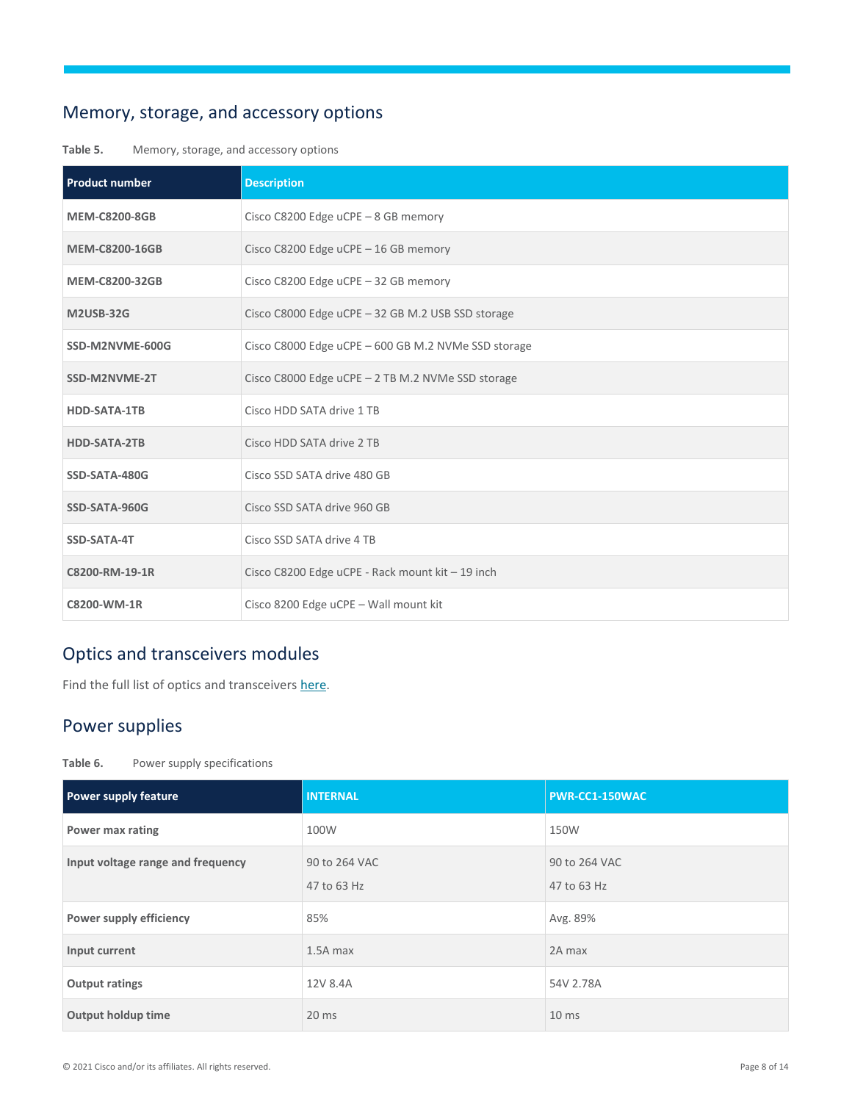# <span id="page-7-0"></span>Memory, storage, and accessory options

#### **Table 5.** Memory, storage, and accessory options

| <b>Product number</b> | <b>Description</b>                                  |
|-----------------------|-----------------------------------------------------|
| <b>MEM-C8200-8GB</b>  | Cisco C8200 Edge uCPE - 8 GB memory                 |
| <b>MEM-C8200-16GB</b> | Cisco C8200 Edge uCPE - 16 GB memory                |
| <b>MEM-C8200-32GB</b> | Cisco C8200 Edge uCPE - 32 GB memory                |
| <b>M2USB-32G</b>      | Cisco C8000 Edge uCPE - 32 GB M.2 USB SSD storage   |
| SSD-M2NVME-600G       | Cisco C8000 Edge uCPE - 600 GB M.2 NVMe SSD storage |
| SSD-M2NVME-2T         | Cisco C8000 Edge uCPE - 2 TB M.2 NVMe SSD storage   |
| <b>HDD-SATA-1TB</b>   | Cisco HDD SATA drive 1 TB                           |
| <b>HDD-SATA-2TB</b>   | Cisco HDD SATA drive 2 TB                           |
| SSD-SATA-480G         | Cisco SSD SATA drive 480 GB                         |
| SSD-SATA-960G         | Cisco SSD SATA drive 960 GB                         |
| SSD-SATA-4T           | Cisco SSD SATA drive 4 TB                           |
| C8200-RM-19-1R        | Cisco C8200 Edge uCPE - Rack mount kit - 19 inch    |
| C8200-WM-1R           | Cisco 8200 Edge uCPE - Wall mount kit               |

# <span id="page-7-1"></span>Optics and transceivers modules

Find the full list of optics and transceivers [here.](https://tmgmatrix.cisco.com/)

# <span id="page-7-2"></span>Power supplies

| Table 6. |  |  | Power supply specifications |
|----------|--|--|-----------------------------|
|----------|--|--|-----------------------------|

| Power supply feature              | <b>INTERNAL</b>              | PWR-CC1-150WAC               |
|-----------------------------------|------------------------------|------------------------------|
| Power max rating                  | 100W                         | 150W                         |
| Input voltage range and frequency | 90 to 264 VAC<br>47 to 63 Hz | 90 to 264 VAC<br>47 to 63 Hz |
| Power supply efficiency           | 85%                          | Avg. 89%                     |
| Input current                     | $1.5A$ max                   | 2A max                       |
| <b>Output ratings</b>             | 12V 8.4A                     | 54V 2.78A                    |
| Output holdup time                | $20$ ms                      | 10 <sub>ms</sub>             |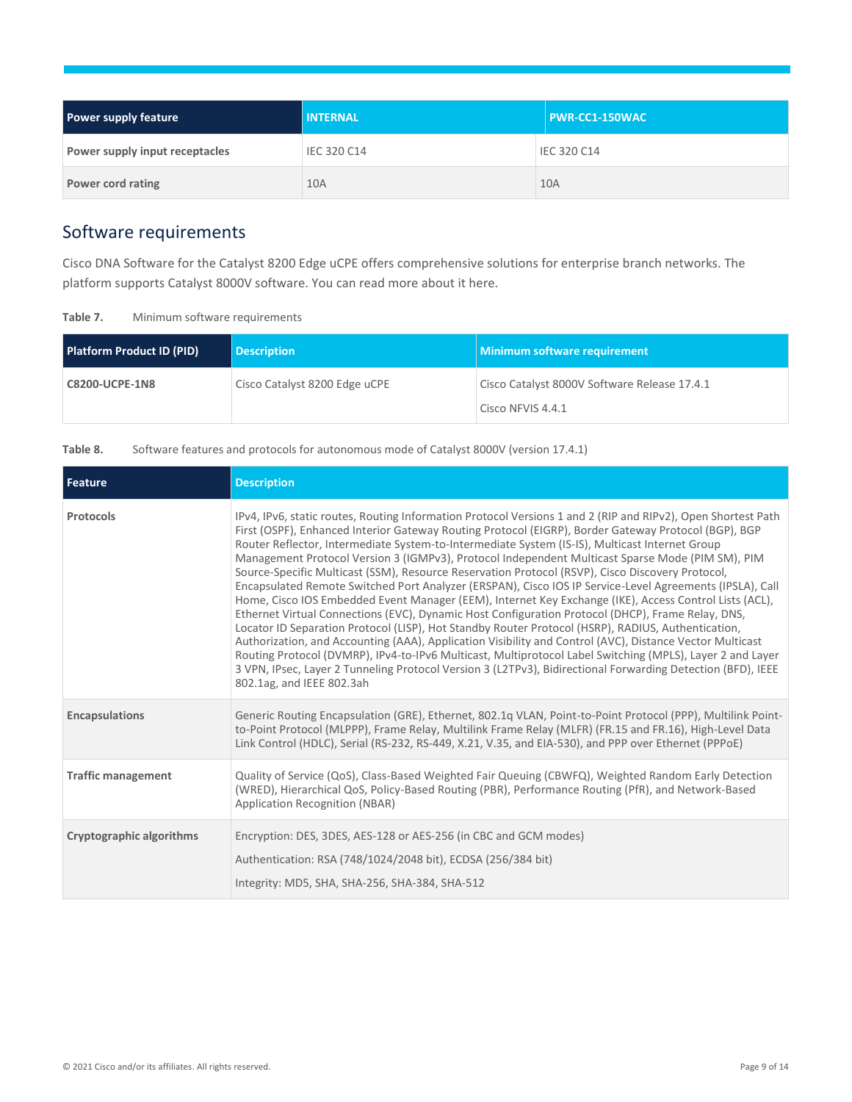| <b>Power supply feature</b>    | <b>INTERNAL</b> | $\overline{\phantom{a}}$ PWR-CC1-150WAC |
|--------------------------------|-----------------|-----------------------------------------|
| Power supply input receptacles | IEC 320 C14     | IEC 320 C14                             |
| Power cord rating              | 10A             | 10A                                     |

# <span id="page-8-0"></span>Software requirements

Cisco DNA Software for the Catalyst 8200 Edge uCPE offers comprehensive solutions for enterprise branch networks. The platform supports Catalyst 8000V software. You can read more about it here.

| Table 7. |  | Minimum software requirements |
|----------|--|-------------------------------|
|          |  |                               |

| <b>Platform Product ID (PID)</b> | <b>Description</b>            | Minimum software requirement                                      |
|----------------------------------|-------------------------------|-------------------------------------------------------------------|
| <b>C8200-UCPE-1N8</b>            | Cisco Catalyst 8200 Edge uCPE | Cisco Catalyst 8000V Software Release 17.4.1<br>Cisco NFVIS 4.4.1 |

Table 8. Software features and protocols for autonomous mode of Catalyst 8000V (version 17.4.1)

| Feature                   | <b>Description</b>                                                                                                                                                                                                                                                                                                                                                                                                                                                                                                                                                                                                                                                                                                                                                                                                                                                                                                                                                                                                                                                                                                                                                                                                                                                                                                                   |
|---------------------------|--------------------------------------------------------------------------------------------------------------------------------------------------------------------------------------------------------------------------------------------------------------------------------------------------------------------------------------------------------------------------------------------------------------------------------------------------------------------------------------------------------------------------------------------------------------------------------------------------------------------------------------------------------------------------------------------------------------------------------------------------------------------------------------------------------------------------------------------------------------------------------------------------------------------------------------------------------------------------------------------------------------------------------------------------------------------------------------------------------------------------------------------------------------------------------------------------------------------------------------------------------------------------------------------------------------------------------------|
| Protocols                 | IPv4, IPv6, static routes, Routing Information Protocol Versions 1 and 2 (RIP and RIPv2), Open Shortest Path<br>First (OSPF), Enhanced Interior Gateway Routing Protocol (EIGRP), Border Gateway Protocol (BGP), BGP<br>Router Reflector, Intermediate System-to-Intermediate System (IS-IS), Multicast Internet Group<br>Management Protocol Version 3 (IGMPv3), Protocol Independent Multicast Sparse Mode (PIM SM), PIM<br>Source-Specific Multicast (SSM), Resource Reservation Protocol (RSVP), Cisco Discovery Protocol,<br>Encapsulated Remote Switched Port Analyzer (ERSPAN), Cisco IOS IP Service-Level Agreements (IPSLA), Call<br>Home, Cisco IOS Embedded Event Manager (EEM), Internet Key Exchange (IKE), Access Control Lists (ACL),<br>Ethernet Virtual Connections (EVC), Dynamic Host Configuration Protocol (DHCP), Frame Relay, DNS,<br>Locator ID Separation Protocol (LISP), Hot Standby Router Protocol (HSRP), RADIUS, Authentication,<br>Authorization, and Accounting (AAA), Application Visibility and Control (AVC), Distance Vector Multicast<br>Routing Protocol (DVMRP), IPv4-to-IPv6 Multicast, Multiprotocol Label Switching (MPLS), Layer 2 and Layer<br>3 VPN, IPsec, Layer 2 Tunneling Protocol Version 3 (L2TPv3), Bidirectional Forwarding Detection (BFD), IEEE<br>802.1ag, and IEEE 802.3ah |
| <b>Encapsulations</b>     | Generic Routing Encapsulation (GRE), Ethernet, 802.1q VLAN, Point-to-Point Protocol (PPP), Multilink Point-<br>to-Point Protocol (MLPPP), Frame Relay, Multilink Frame Relay (MLFR) (FR.15 and FR.16), High-Level Data<br>Link Control (HDLC), Serial (RS-232, RS-449, X.21, V.35, and EIA-530), and PPP over Ethernet (PPPoE)                                                                                                                                                                                                                                                                                                                                                                                                                                                                                                                                                                                                                                                                                                                                                                                                                                                                                                                                                                                                       |
| <b>Traffic management</b> | Quality of Service (QoS), Class-Based Weighted Fair Queuing (CBWFQ), Weighted Random Early Detection<br>(WRED), Hierarchical QoS, Policy-Based Routing (PBR), Performance Routing (PfR), and Network-Based<br>Application Recognition (NBAR)                                                                                                                                                                                                                                                                                                                                                                                                                                                                                                                                                                                                                                                                                                                                                                                                                                                                                                                                                                                                                                                                                         |
| Cryptographic algorithms  | Encryption: DES, 3DES, AES-128 or AES-256 (in CBC and GCM modes)<br>Authentication: RSA (748/1024/2048 bit), ECDSA (256/384 bit)<br>Integrity: MD5, SHA, SHA-256, SHA-384, SHA-512                                                                                                                                                                                                                                                                                                                                                                                                                                                                                                                                                                                                                                                                                                                                                                                                                                                                                                                                                                                                                                                                                                                                                   |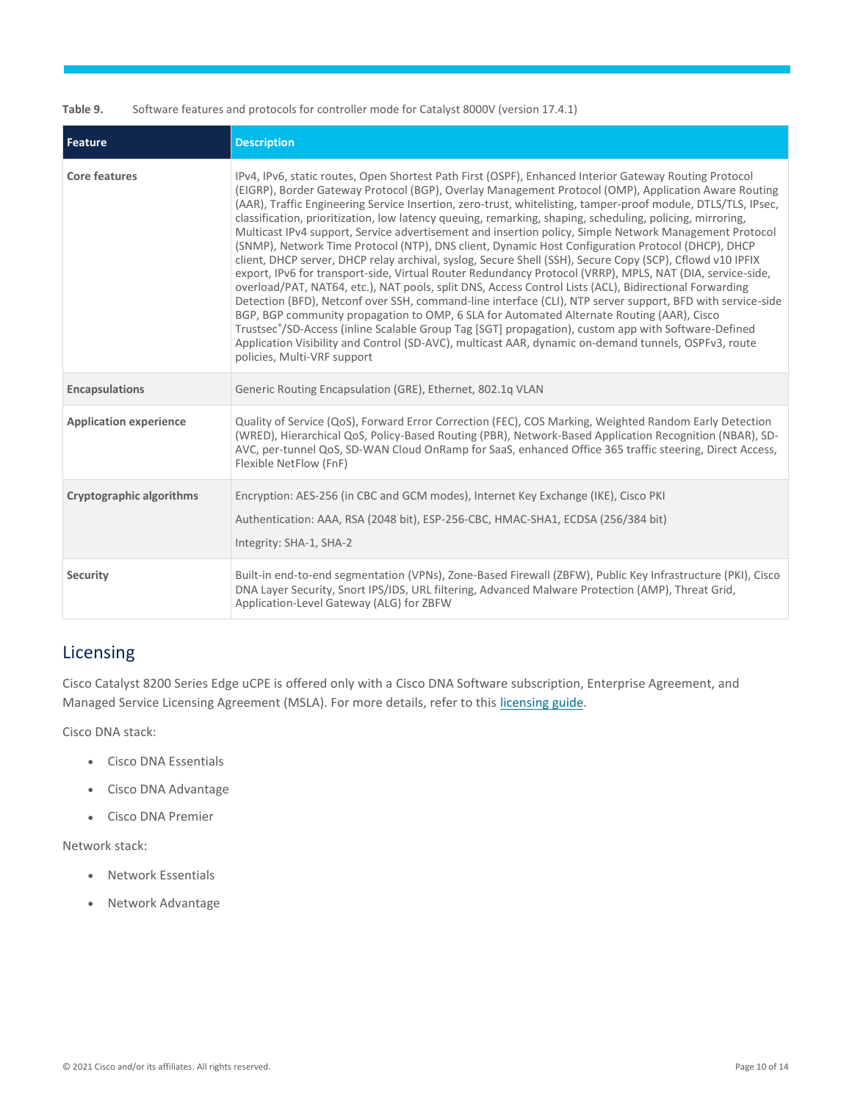Table 9. Software features and protocols for controller mode for Catalyst 8000V (version 17.4.1)

| Feature                       | <b>Description</b>                                                                                                                                                                                                                                                                                                                                                                                                                                                                                                                                                                                                                                                                                                                                                                                                                                                                                                                                                                                                                                                                                                                                                                                                                                                                                                                                                                                                                                       |
|-------------------------------|----------------------------------------------------------------------------------------------------------------------------------------------------------------------------------------------------------------------------------------------------------------------------------------------------------------------------------------------------------------------------------------------------------------------------------------------------------------------------------------------------------------------------------------------------------------------------------------------------------------------------------------------------------------------------------------------------------------------------------------------------------------------------------------------------------------------------------------------------------------------------------------------------------------------------------------------------------------------------------------------------------------------------------------------------------------------------------------------------------------------------------------------------------------------------------------------------------------------------------------------------------------------------------------------------------------------------------------------------------------------------------------------------------------------------------------------------------|
| <b>Core features</b>          | IPv4, IPv6, static routes, Open Shortest Path First (OSPF), Enhanced Interior Gateway Routing Protocol<br>(EIGRP), Border Gateway Protocol (BGP), Overlay Management Protocol (OMP), Application Aware Routing<br>(AAR), Traffic Engineering Service Insertion, zero-trust, whitelisting, tamper-proof module, DTLS/TLS, IPsec,<br>classification, prioritization, low latency queuing, remarking, shaping, scheduling, policing, mirroring,<br>Multicast IPv4 support, Service advertisement and insertion policy, Simple Network Management Protocol<br>(SNMP), Network Time Protocol (NTP), DNS client, Dynamic Host Configuration Protocol (DHCP), DHCP<br>client, DHCP server, DHCP relay archival, syslog, Secure Shell (SSH), Secure Copy (SCP), Cflowd v10 IPFIX<br>export, IPv6 for transport-side, Virtual Router Redundancy Protocol (VRRP), MPLS, NAT (DIA, service-side,<br>overload/PAT, NAT64, etc.), NAT pools, split DNS, Access Control Lists (ACL), Bidirectional Forwarding<br>Detection (BFD), Netconf over SSH, command-line interface (CLI), NTP server support, BFD with service-side<br>BGP, BGP community propagation to OMP, 6 SLA for Automated Alternate Routing (AAR), Cisco<br>Trustsec®/SD-Access (inline Scalable Group Tag [SGT] propagation), custom app with Software-Defined<br>Application Visibility and Control (SD-AVC), multicast AAR, dynamic on-demand tunnels, OSPFv3, route<br>policies, Multi-VRF support |
| <b>Encapsulations</b>         | Generic Routing Encapsulation (GRE), Ethernet, 802.1q VLAN                                                                                                                                                                                                                                                                                                                                                                                                                                                                                                                                                                                                                                                                                                                                                                                                                                                                                                                                                                                                                                                                                                                                                                                                                                                                                                                                                                                               |
| <b>Application experience</b> | Quality of Service (QoS), Forward Error Correction (FEC), COS Marking, Weighted Random Early Detection<br>(WRED), Hierarchical QoS, Policy-Based Routing (PBR), Network-Based Application Recognition (NBAR), SD-<br>AVC, per-tunnel QoS, SD-WAN Cloud OnRamp for SaaS, enhanced Office 365 traffic steering, Direct Access,<br>Flexible NetFlow (FnF)                                                                                                                                                                                                                                                                                                                                                                                                                                                                                                                                                                                                                                                                                                                                                                                                                                                                                                                                                                                                                                                                                                   |
| Cryptographic algorithms      | Encryption: AES-256 (in CBC and GCM modes), Internet Key Exchange (IKE), Cisco PKI<br>Authentication: AAA, RSA (2048 bit), ESP-256-CBC, HMAC-SHA1, ECDSA (256/384 bit)<br>Integrity: SHA-1, SHA-2                                                                                                                                                                                                                                                                                                                                                                                                                                                                                                                                                                                                                                                                                                                                                                                                                                                                                                                                                                                                                                                                                                                                                                                                                                                        |
| Security                      | Built-in end-to-end segmentation (VPNs), Zone-Based Firewall (ZBFW), Public Key Infrastructure (PKI), Cisco<br>DNA Layer Security, Snort IPS/IDS, URL filtering, Advanced Malware Protection (AMP), Threat Grid,<br>Application-Level Gateway (ALG) for ZBFW                                                                                                                                                                                                                                                                                                                                                                                                                                                                                                                                                                                                                                                                                                                                                                                                                                                                                                                                                                                                                                                                                                                                                                                             |

# <span id="page-9-0"></span>Licensing

Cisco Catalyst 8200 Series Edge uCPE is offered only with a Cisco DNA Software subscription, Enterprise Agreement, and Managed Service Licensing Agreement (MSLA). For more details, refer to this [licensing guide.](https://cisco-router-switch-firewall.com/wp-content/uploads/2021/09/Cisco-DNA-Software-for-SD-WAN-and-Routing-Subscription-Offers-At-a-Glance.pdf)

Cisco DNA stack:

- Cisco DNA Essentials
- Cisco DNA Advantage
- Cisco DNA Premier

Network stack:

- Network Essentials
- Network Advantage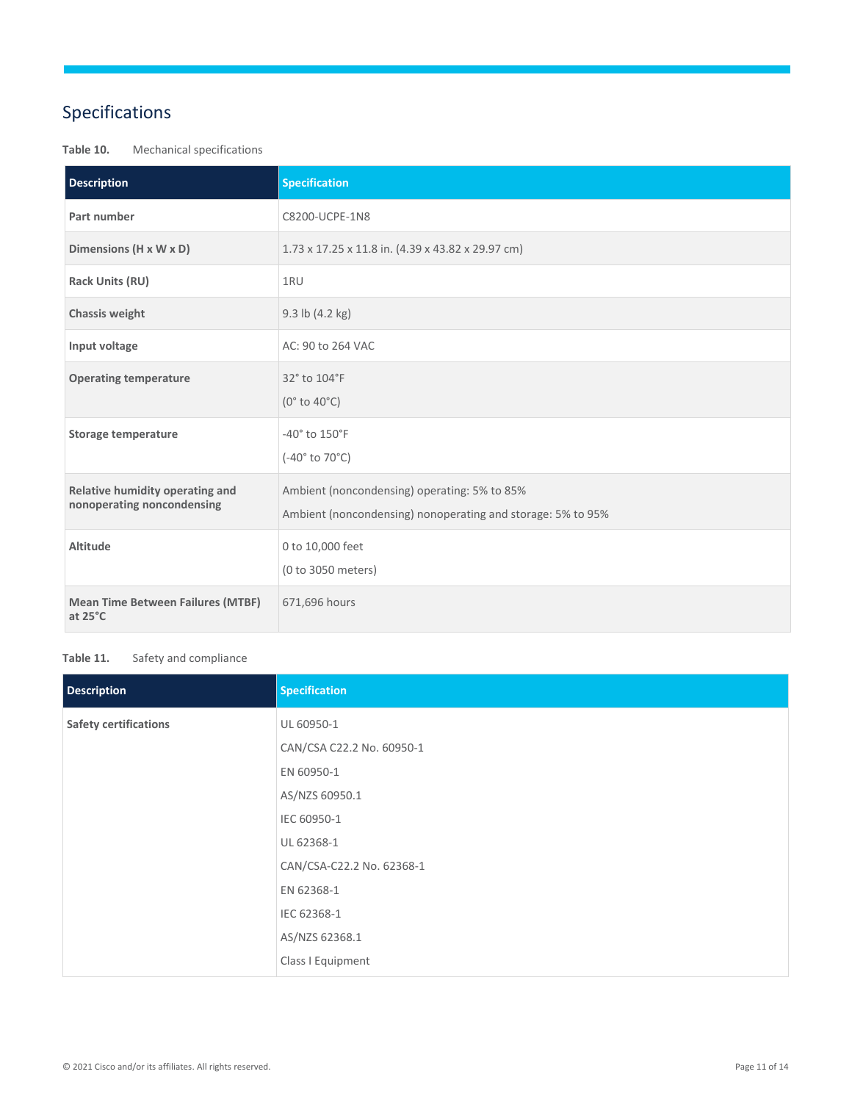# <span id="page-10-0"></span>Specifications

## **Table 10.** Mechanical specifications

| <b>Description</b>                                            | <b>Specification</b>                                                                                        |
|---------------------------------------------------------------|-------------------------------------------------------------------------------------------------------------|
| Part number                                                   | C8200-UCPE-1N8                                                                                              |
| Dimensions (H x W x D)                                        | 1.73 x 17.25 x 11.8 in. (4.39 x 43.82 x 29.97 cm)                                                           |
| <b>Rack Units (RU)</b>                                        | 1RU                                                                                                         |
| Chassis weight                                                | 9.3 lb (4.2 kg)                                                                                             |
| Input voltage                                                 | AC: 90 to 264 VAC                                                                                           |
| <b>Operating temperature</b>                                  | 32° to 104°F<br>(0° to 40°C)                                                                                |
| <b>Storage temperature</b>                                    | -40° to 150°F<br>(-40° to 70°C)                                                                             |
| Relative humidity operating and<br>nonoperating noncondensing | Ambient (noncondensing) operating: 5% to 85%<br>Ambient (noncondensing) nonoperating and storage: 5% to 95% |
| Altitude                                                      | 0 to 10,000 feet<br>(0 to 3050 meters)                                                                      |
| <b>Mean Time Between Failures (MTBF)</b><br>at 25°C           | 671,696 hours                                                                                               |

#### Table 11. Safety and compliance

| <b>Description</b>           | <b>Specification</b>      |
|------------------------------|---------------------------|
| <b>Safety certifications</b> | UL 60950-1                |
|                              | CAN/CSA C22.2 No. 60950-1 |
|                              | EN 60950-1                |
|                              | AS/NZS 60950.1            |
|                              | IEC 60950-1               |
|                              | UL 62368-1                |
|                              | CAN/CSA-C22.2 No. 62368-1 |
|                              | EN 62368-1                |
|                              | IEC 62368-1               |
|                              | AS/NZS 62368.1            |
|                              | Class I Equipment         |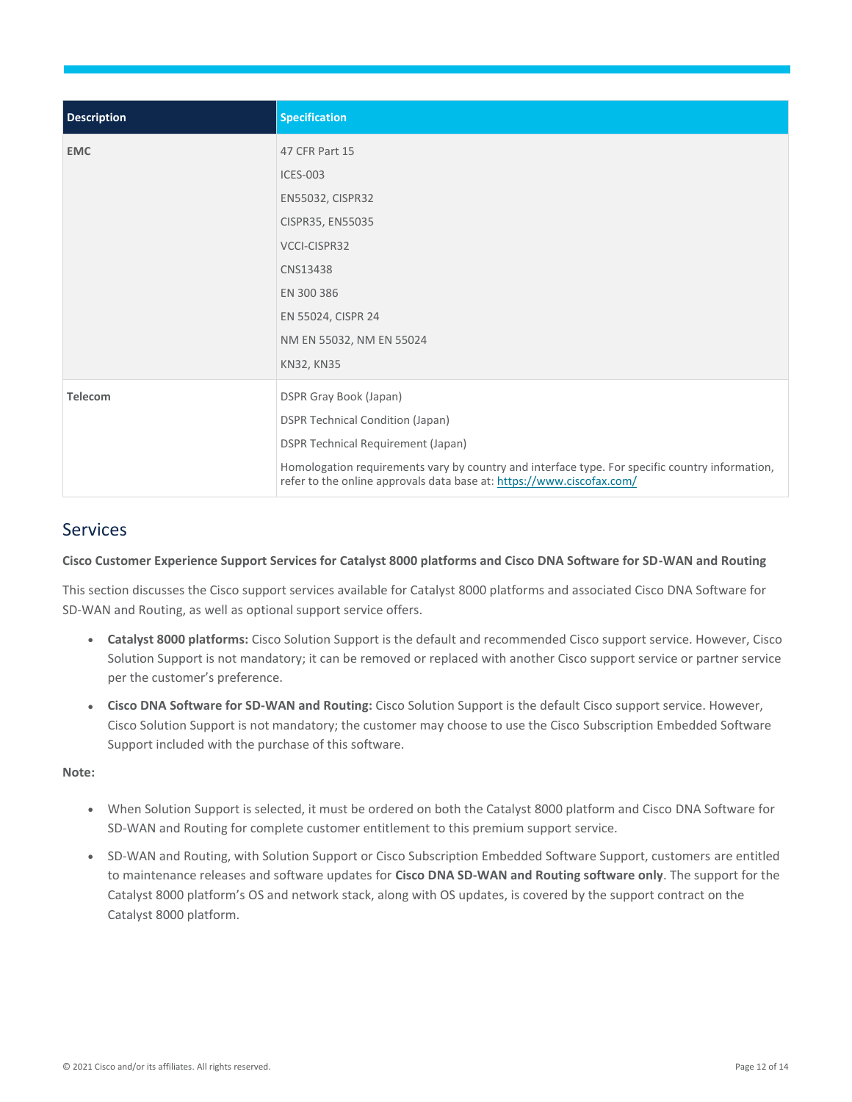| <b>Description</b> | <b>Specification</b>                                                                                                                                                     |
|--------------------|--------------------------------------------------------------------------------------------------------------------------------------------------------------------------|
| <b>EMC</b>         | 47 CFR Part 15                                                                                                                                                           |
|                    | <b>ICES-003</b>                                                                                                                                                          |
|                    | EN55032, CISPR32                                                                                                                                                         |
|                    | CISPR35, EN55035                                                                                                                                                         |
|                    | VCCI-CISPR32                                                                                                                                                             |
|                    | CNS13438                                                                                                                                                                 |
|                    | EN 300 386                                                                                                                                                               |
|                    | EN 55024, CISPR 24                                                                                                                                                       |
|                    | NM EN 55032, NM EN 55024                                                                                                                                                 |
|                    | KN32, KN35                                                                                                                                                               |
| <b>Telecom</b>     | DSPR Gray Book (Japan)                                                                                                                                                   |
|                    | <b>DSPR Technical Condition (Japan)</b>                                                                                                                                  |
|                    | <b>DSPR Technical Requirement (Japan)</b>                                                                                                                                |
|                    | Homologation requirements vary by country and interface type. For specific country information,<br>refer to the online approvals data base at: https://www.ciscofax.com/ |

## <span id="page-11-0"></span>Services

**Cisco Customer Experience Support Services for Catalyst 8000 platforms and Cisco DNA Software for SD-WAN and Routing**

This section discusses the Cisco support services available for Catalyst 8000 platforms and associated Cisco DNA Software for SD-WAN and Routing, as well as optional support service offers.

- **Catalyst 8000 platforms:** Cisco Solution Support is the default and recommended Cisco support service. However, Cisco Solution Support is not mandatory; it can be removed or replaced with another Cisco support service or partner service per the customer's preference.
- **Cisco DNA Software for SD-WAN and Routing:** Cisco Solution Support is the default Cisco support service. However, Cisco Solution Support is not mandatory; the customer may choose to use the Cisco Subscription Embedded Software Support included with the purchase of this software.

#### **Note:**

- When Solution Support is selected, it must be ordered on both the Catalyst 8000 platform and Cisco DNA Software for SD-WAN and Routing for complete customer entitlement to this premium support service.
- SD-WAN and Routing, with Solution Support or Cisco Subscription Embedded Software Support, customers are entitled to maintenance releases and software updates for **Cisco DNA SD-WAN and Routing software only**. The support for the Catalyst 8000 platform's OS and network stack, along with OS updates, is covered by the support contract on the Catalyst 8000 platform.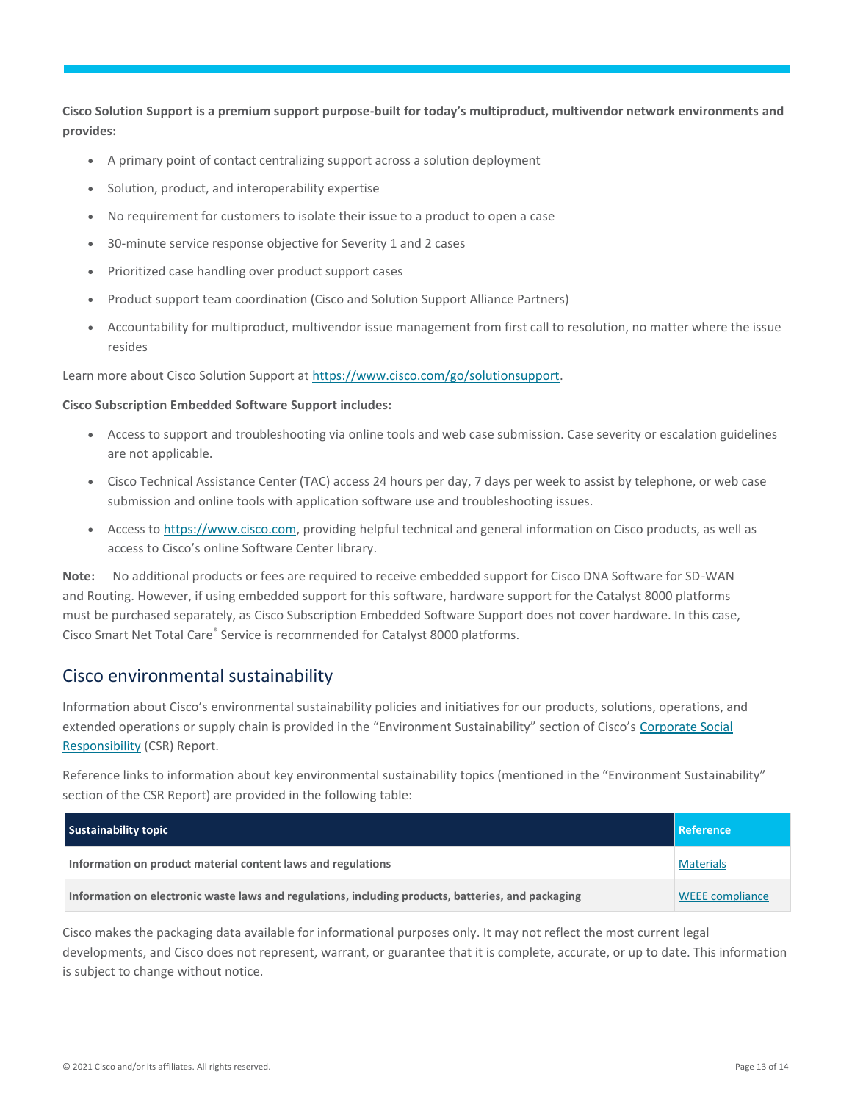**Cisco Solution Support is a premium support purpose-built for today's multiproduct, multivendor network environments and provides:**

- A primary point of contact centralizing support across a solution deployment
- Solution, product, and interoperability expertise
- No requirement for customers to isolate their issue to a product to open a case
- 30-minute service response objective for Severity 1 and 2 cases
- Prioritized case handling over product support cases
- Product support team coordination (Cisco and Solution Support Alliance Partners)
- Accountability for multiproduct, multivendor issue management from first call to resolution, no matter where the issue resides

Learn more about Cisco Solution Support a[t https://www.cisco.com/go/solutionsupport.](https://cisco-router-switch-firewall.com/technical-support/)

#### **Cisco Subscription Embedded Software Support includes:**

- Access to support and troubleshooting via online tools and web case submission. Case severity or escalation guidelines are not applicable.
- Cisco Technical Assistance Center (TAC) access 24 hours per day, 7 days per week to assist by telephone, or web case submission and online tools with application software use and troubleshooting issues.
- Access t[o https://www.cisco.com,](https://cisco-router-switch-firewall.com/technical-support/) providing helpful technical and general information on Cisco products, as well as access to Cisco's online Software Center library.

**Note:** No additional products or fees are required to receive embedded support for Cisco DNA Software for SD-WAN and Routing. However, if using embedded support for this software, hardware support for the Catalyst 8000 platforms must be purchased separately, as Cisco Subscription Embedded Software Support does not cover hardware. In this case, Cisco Smart Net Total Care® Service is recommended for Catalyst 8000 platforms.

## <span id="page-12-0"></span>Cisco environmental sustainability

Information about Cisco's environmental sustainability policies and initiatives for our products, solutions, operations, and extended operations or supply chain is provided in the "Environment Sustainability" section of Cisco's Corporate Social [Responsibility](https://www-1.compliance2product.com/c2p/getAttachment.do?code=YM6Y0yThdO6Wj1FxxYPYfUG2dtFkTeFWGpzLRO8tcURFEifUCRV403Tq2ZMWP6Ai) (CSR) Report.

Reference links to information about key environmental sustainability topics (mentioned in the "Environment Sustainability" section of the CSR Report) are provided in the following table:

| <b>Sustainability topic</b>                                                                        | <b>Reference</b>       |
|----------------------------------------------------------------------------------------------------|------------------------|
| Information on product material content laws and regulations                                       | <b>Materials</b>       |
| Information on electronic waste laws and regulations, including products, batteries, and packaging | <b>WEEE</b> compliance |

Cisco makes the packaging data available for informational purposes only. It may not reflect the most current legal developments, and Cisco does not represent, warrant, or guarantee that it is complete, accurate, or up to date. This information is subject to change without notice.